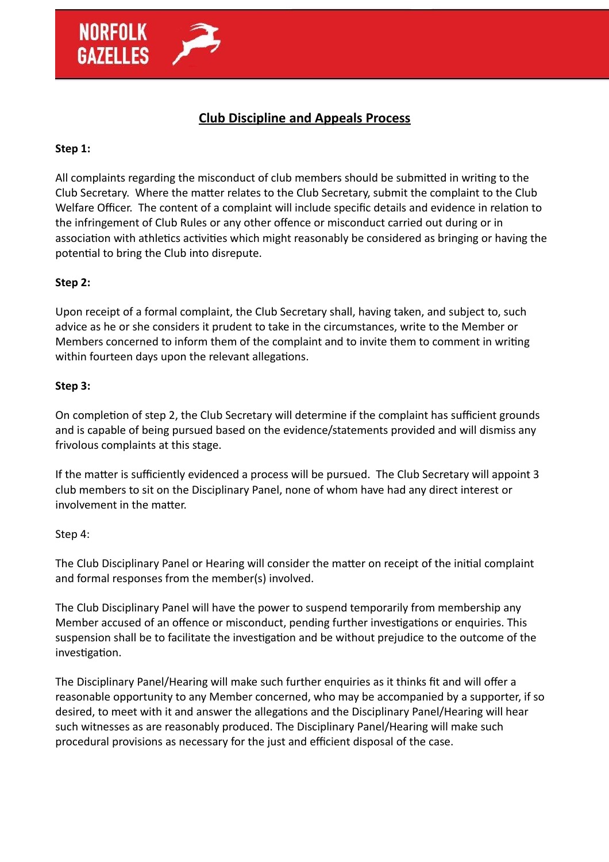

# **Club Discipline and Appeals Process**

## **Step 1:**

All complaints regarding the misconduct of club members should be submitted in writing to the Club Secretary. Where the matter relates to the Club Secretary, submit the complaint to the Club Welfare Officer. The content of a complaint will include specific details and evidence in relation to the infringement of Club Rules or any other offence or misconduct carried out during or in association with athletics activities which might reasonably be considered as bringing or having the potential to bring the Club into disrepute.

## **Step 2:**

Upon receipt of a formal complaint, the Club Secretary shall, having taken, and subject to, such advice as he or she considers it prudent to take in the circumstances, write to the Member or Members concerned to inform them of the complaint and to invite them to comment in writing within fourteen days upon the relevant allegations.

## **Step 3:**

On completion of step 2, the Club Secretary will determine if the complaint has sufficient grounds and is capable of being pursued based on the evidence/statements provided and will dismiss any frivolous complaints at this stage.

If the matter is sufficiently evidenced a process will be pursued. The Club Secretary will appoint 3 club members to sit on the Disciplinary Panel, none of whom have had any direct interest or involvement in the matter.

### Step 4:

The Club Disciplinary Panel or Hearing will consider the matter on receipt of the initial complaint and formal responses from the member(s) involved.

The Club Disciplinary Panel will have the power to suspend temporarily from membership any Member accused of an offence or misconduct, pending further investigations or enquiries. This suspension shall be to facilitate the investigation and be without prejudice to the outcome of the investigation.

The Disciplinary Panel/Hearing will make such further enquiries as it thinks fit and will offer a reasonable opportunity to any Member concerned, who may be accompanied by a supporter, if so desired, to meet with it and answer the allegations and the Disciplinary Panel/Hearing will hear such witnesses as are reasonably produced. The Disciplinary Panel/Hearing will make such procedural provisions as necessary for the just and efficient disposal of the case.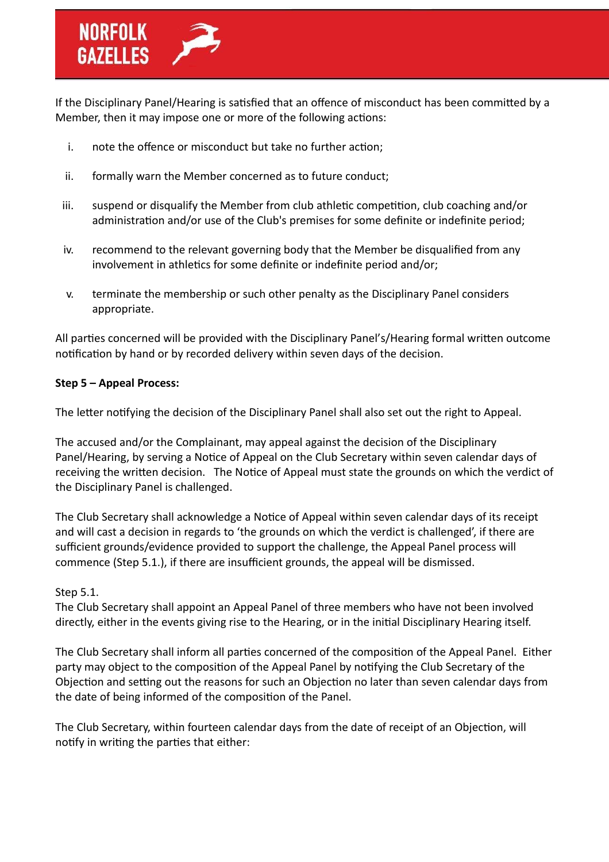If the Disciplinary Panel/Hearing is satisfied that an offence of misconduct has been committed by a Member, then it may impose one or more of the following actions:

- i. note the offence or misconduct but take no further action;
- ii. formally warn the Member concerned as to future conduct;
- iii. suspend or disqualify the Member from club athletic competition, club coaching and/or administration and/or use of the Club's premises for some definite or indefinite period;
- iv. recommend to the relevant governing body that the Member be disqualified from any involvement in athletics for some definite or indefinite period and/or;
- v. terminate the membership or such other penalty as the Disciplinary Panel considers appropriate.

All parties concerned will be provided with the Disciplinary Panel's/Hearing formal written outcome notification by hand or by recorded delivery within seven days of the decision.

## **Step 5 – Appeal Process:**

The letter notifying the decision of the Disciplinary Panel shall also set out the right to Appeal.

The accused and/or the Complainant, may appeal against the decision of the Disciplinary Panel/Hearing, by serving a Notice of Appeal on the Club Secretary within seven calendar days of receiving the written decision. The Notice of Appeal must state the grounds on which the verdict of the Disciplinary Panel is challenged.

The Club Secretary shall acknowledge a Notice of Appeal within seven calendar days of its receipt and will cast a decision in regards to 'the grounds on which the verdict is challenged', if there are sufficient grounds/evidence provided to support the challenge, the Appeal Panel process will commence (Step 5.1.), if there are insufficient grounds, the appeal will be dismissed.

## Step 5.1.

The Club Secretary shall appoint an Appeal Panel of three members who have not been involved directly, either in the events giving rise to the Hearing, or in the initial Disciplinary Hearing itself.

The Club Secretary shall inform all parties concerned of the composition of the Appeal Panel. Either party may object to the composition of the Appeal Panel by notifying the Club Secretary of the Objection and setting out the reasons for such an Objection no later than seven calendar days from the date of being informed of the composition of the Panel.

The Club Secretary, within fourteen calendar days from the date of receipt of an Objection, will notify in writing the parties that either: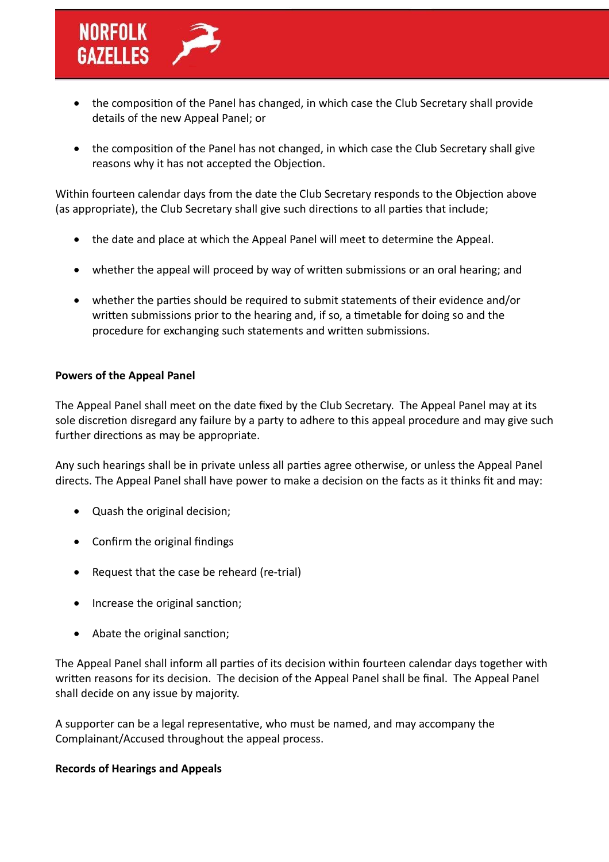

- the composition of the Panel has changed, in which case the Club Secretary shall provide details of the new Appeal Panel; or
- the composition of the Panel has not changed, in which case the Club Secretary shall give reasons why it has not accepted the Objection.

Within fourteen calendar days from the date the Club Secretary responds to the Objection above (as appropriate), the Club Secretary shall give such directions to all parties that include;

- the date and place at which the Appeal Panel will meet to determine the Appeal.
- whether the appeal will proceed by way of written submissions or an oral hearing; and
- whether the parties should be required to submit statements of their evidence and/or written submissions prior to the hearing and, if so, a timetable for doing so and the procedure for exchanging such statements and written submissions.

### **Powers of the Appeal Panel**

The Appeal Panel shall meet on the date fixed by the Club Secretary. The Appeal Panel may at its sole discretion disregard any failure by a party to adhere to this appeal procedure and may give such further directions as may be appropriate.

Any such hearings shall be in private unless all parties agree otherwise, or unless the Appeal Panel directs. The Appeal Panel shall have power to make a decision on the facts as it thinks fit and may:

- Quash the original decision;
- Confirm the original findings
- Request that the case be reheard (re-trial)
- Increase the original sanction;
- Abate the original sanction;

The Appeal Panel shall inform all parties of its decision within fourteen calendar days together with written reasons for its decision. The decision of the Appeal Panel shall be final. The Appeal Panel shall decide on any issue by majority.

A supporter can be a legal representative, who must be named, and may accompany the Complainant/Accused throughout the appeal process.

### **Records of Hearings and Appeals**